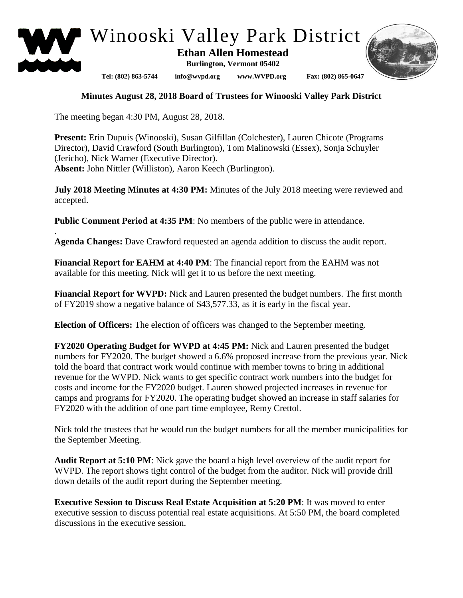

## **Minutes August 28, 2018 Board of Trustees for Winooski Valley Park District**

The meeting began 4:30 PM, August 28, 2018.

.

**Present:** Erin Dupuis (Winooski), Susan Gilfillan (Colchester), Lauren Chicote (Programs Director), David Crawford (South Burlington), Tom Malinowski (Essex), Sonja Schuyler (Jericho), Nick Warner (Executive Director). **Absent:** John Nittler (Williston), Aaron Keech (Burlington).

**July 2018 Meeting Minutes at 4:30 PM:** Minutes of the July 2018 meeting were reviewed and accepted.

**Public Comment Period at 4:35 PM**: No members of the public were in attendance.

**Agenda Changes:** Dave Crawford requested an agenda addition to discuss the audit report.

**Financial Report for EAHM at 4:40 PM**: The financial report from the EAHM was not available for this meeting. Nick will get it to us before the next meeting.

**Financial Report for WVPD:** Nick and Lauren presented the budget numbers. The first month of FY2019 show a negative balance of \$43,577.33, as it is early in the fiscal year.

**Election of Officers:** The election of officers was changed to the September meeting.

**FY2020 Operating Budget for WVPD at 4:45 PM:** Nick and Lauren presented the budget numbers for FY2020. The budget showed a 6.6% proposed increase from the previous year. Nick told the board that contract work would continue with member towns to bring in additional revenue for the WVPD. Nick wants to get specific contract work numbers into the budget for costs and income for the FY2020 budget. Lauren showed projected increases in revenue for camps and programs for FY2020. The operating budget showed an increase in staff salaries for FY2020 with the addition of one part time employee, Remy Crettol.

Nick told the trustees that he would run the budget numbers for all the member municipalities for the September Meeting.

**Audit Report at 5:10 PM**: Nick gave the board a high level overview of the audit report for WVPD. The report shows tight control of the budget from the auditor. Nick will provide drill down details of the audit report during the September meeting.

**Executive Session to Discuss Real Estate Acquisition at 5:20 PM**: It was moved to enter executive session to discuss potential real estate acquisitions. At 5:50 PM, the board completed discussions in the executive session.